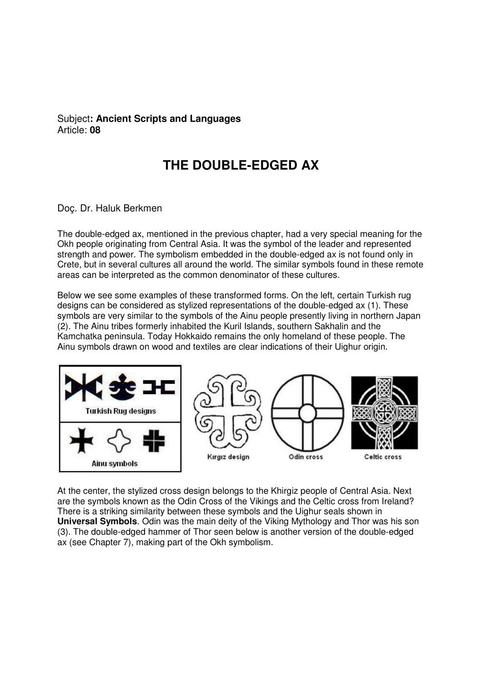## Subject**: Ancient Scripts and Languages**  Article: **08**

## **THE DOUBLE-EDGED AX**

## Doç. Dr. Haluk Berkmen

The double-edged ax, mentioned in the previous chapter, had a very special meaning for the Okh people originating from Central Asia. It was the symbol of the leader and represented strength and power. The symbolism embedded in the double-edged ax is not found only in Crete, but in several cultures all around the world. The similar symbols found in these remote areas can be interpreted as the common denominator of these cultures.

Below we see some examples of these transformed forms. On the left, certain Turkish rug designs can be considered as stylized representations of the double-edged ax (1). These symbols are very similar to the symbols of the Ainu people presently living in northern Japan (2). The Ainu tribes formerly inhabited the Kuril Islands, southern Sakhalin and the Kamchatka peninsula. Today Hokkaido remains the only homeland of these people. The Ainu symbols drawn on wood and textiles are clear indications of their Uighur origin.



At the center, the stylized cross design belongs to the Khirgiz people of Central Asia. Next are the symbols known as the Odin Cross of the Vikings and the Celtic cross from Ireland? There is a striking similarity between these symbols and the Uighur seals shown in **Universal Symbols**. Odin was the main deity of the Viking Mythology and Thor was his son (3). The double-edged hammer of Thor seen below is another version of the double-edged ax (see Chapter 7), making part of the Okh symbolism.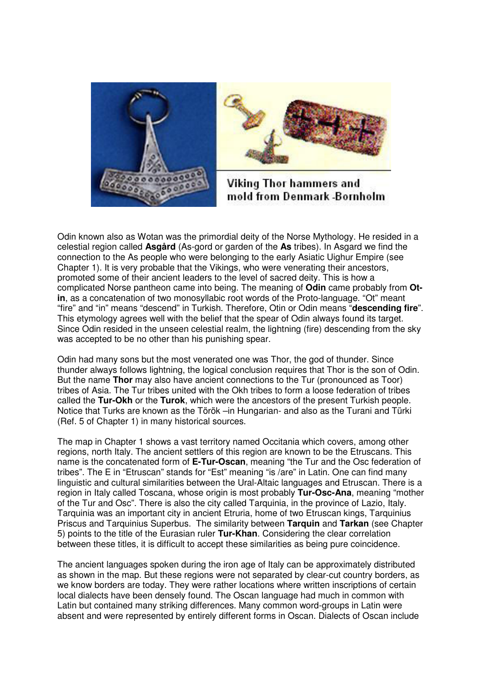



Viking Thor hammers and mold from Denmark -Bornholm

Odin known also as Wotan was the primordial deity of the Norse Mythology. He resided in a celestial region called **Asgård** (As-gord or garden of the **As** tribes). In Asgard we find the connection to the As people who were belonging to the early Asiatic Uighur Empire (see Chapter 1). It is very probable that the Vikings, who were venerating their ancestors, promoted some of their ancient leaders to the level of sacred deity. This is how a complicated Norse pantheon came into being. The meaning of **Odin** came probably from **Otin**, as a concatenation of two monosyllabic root words of the Proto-language. "Ot" meant "fire" and "in" means "descend" in Turkish. Therefore, Otin or Odin means "**descending fire**". This etymology agrees well with the belief that the spear of Odin always found its target. Since Odin resided in the unseen celestial realm, the lightning (fire) descending from the sky was accepted to be no other than his punishing spear.

Odin had many sons but the most venerated one was Thor, the god of thunder. Since thunder always follows lightning, the logical conclusion requires that Thor is the son of Odin. But the name **Thor** may also have ancient connections to the Tur (pronounced as Toor) tribes of Asia. The Tur tribes united with the Okh tribes to form a loose federation of tribes called the **Tur-Okh** or the **Turok**, which were the ancestors of the present Turkish people. Notice that Turks are known as the Török –in Hungarian- and also as the Turani and Türki (Ref. 5 of Chapter 1) in many historical sources.

The map in Chapter 1 shows a vast territory named Occitania which covers, among other regions, north Italy. The ancient settlers of this region are known to be the Etruscans. This name is the concatenated form of **E-Tur-Oscan**, meaning "the Tur and the Osc federation of tribes". The E in "Etruscan" stands for "Est" meaning "is /are" in Latin. One can find many linguistic and cultural similarities between the Ural-Altaic languages and Etruscan. There is a region in Italy called Toscana, whose origin is most probably **Tur-Osc-Ana**, meaning "mother of the Tur and Osc". There is also the city called Tarquinia, in the province of Lazio, Italy. Tarquinia was an important city in ancient Etruria, home of two Etruscan kings, Tarquinius Priscus and Tarquinius Superbus. The similarity between **Tarquin** and **Tarkan** (see Chapter 5) points to the title of the Eurasian ruler **Tur-Khan**. Considering the clear correlation between these titles, it is difficult to accept these similarities as being pure coincidence.

The ancient languages spoken during the iron age of Italy can be approximately distributed as shown in the map. But these regions were not separated by clear-cut country borders, as we know borders are today. They were rather locations where written inscriptions of certain local dialects have been densely found. The Oscan language had much in common with Latin but contained many striking differences. Many common word-groups in Latin were absent and were represented by entirely different forms in Oscan. Dialects of Oscan include